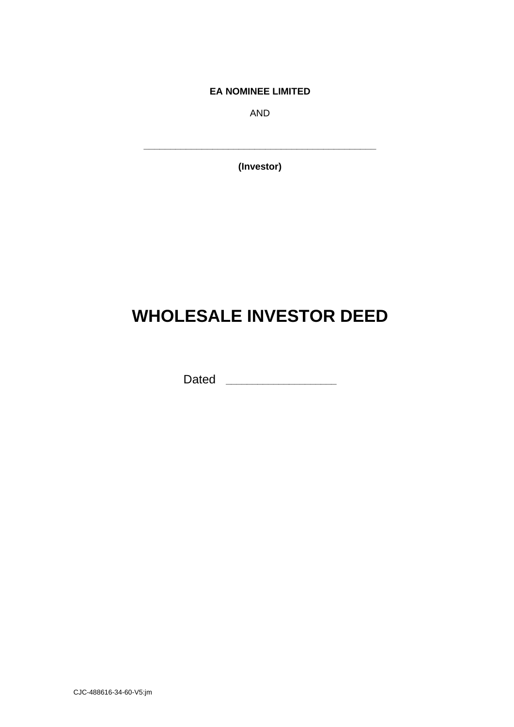**EA NOMINEE LIMITED**

AND

**(Investor)**

**\_\_\_\_\_\_\_\_\_\_\_\_\_\_\_\_\_\_\_\_\_\_\_\_\_\_\_\_\_\_\_\_\_\_\_\_\_\_\_\_\_\_\_\_**

# **WHOLESALE INVESTOR DEED**

Dated **\_\_\_\_\_\_\_\_\_\_\_\_\_\_\_\_\_\_\_\_\_**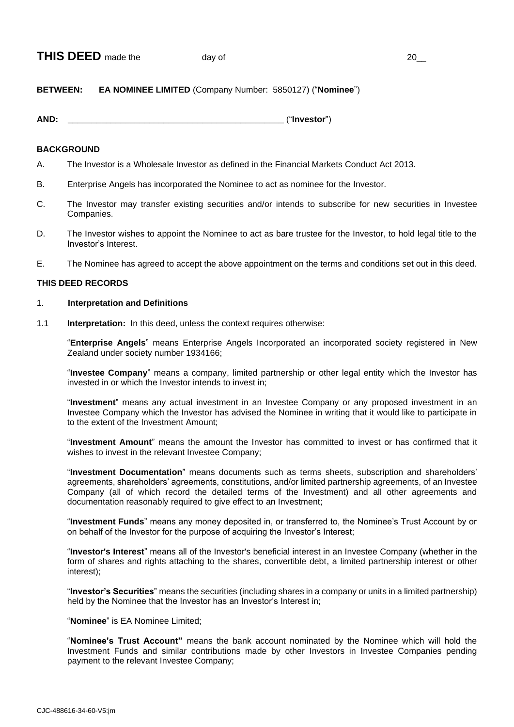# **BETWEEN: EA NOMINEE LIMITED** (Company Number: 5850127) ("**Nominee**")

**AND: \_\_\_\_\_\_\_\_\_\_\_\_\_\_\_\_\_\_\_\_\_\_\_\_\_\_\_\_\_\_\_\_\_\_\_\_\_\_\_\_\_\_\_\_\_** ("**Investor**")

# **BACKGROUND**

- A. The Investor is a Wholesale Investor as defined in the Financial Markets Conduct Act 2013.
- B. Enterprise Angels has incorporated the Nominee to act as nominee for the Investor.
- C. The Investor may transfer existing securities and/or intends to subscribe for new securities in Investee Companies.
- D. The Investor wishes to appoint the Nominee to act as bare trustee for the Investor, to hold legal title to the Investor's Interest.
- E. The Nominee has agreed to accept the above appointment on the terms and conditions set out in this deed.

# **THIS DEED RECORDS**

## 1. **Interpretation and Definitions**

1.1 **Interpretation:** In this deed, unless the context requires otherwise:

"**Enterprise Angels**" means Enterprise Angels Incorporated an incorporated society registered in New Zealand under society number 1934166;

"**Investee Company**" means a company, limited partnership or other legal entity which the Investor has invested in or which the Investor intends to invest in;

"**Investment**" means any actual investment in an Investee Company or any proposed investment in an Investee Company which the Investor has advised the Nominee in writing that it would like to participate in to the extent of the Investment Amount;

"**Investment Amount**" means the amount the Investor has committed to invest or has confirmed that it wishes to invest in the relevant Investee Company;

"**Investment Documentation**" means documents such as terms sheets, subscription and shareholders' agreements, shareholders' agreements, constitutions, and/or limited partnership agreements, of an Investee Company (all of which record the detailed terms of the Investment) and all other agreements and documentation reasonably required to give effect to an Investment;

"**Investment Funds**" means any money deposited in, or transferred to, the Nominee's Trust Account by or on behalf of the Investor for the purpose of acquiring the Investor's Interest;

"**Investor's Interest**" means all of the Investor's beneficial interest in an Investee Company (whether in the form of shares and rights attaching to the shares, convertible debt, a limited partnership interest or other interest);

"**Investor's Securities**" means the securities (including shares in a company or units in a limited partnership) held by the Nominee that the Investor has an Investor's Interest in;

"**Nominee**" is EA Nominee Limited;

"**Nominee's Trust Account"** means the bank account nominated by the Nominee which will hold the Investment Funds and similar contributions made by other Investors in Investee Companies pending payment to the relevant Investee Company;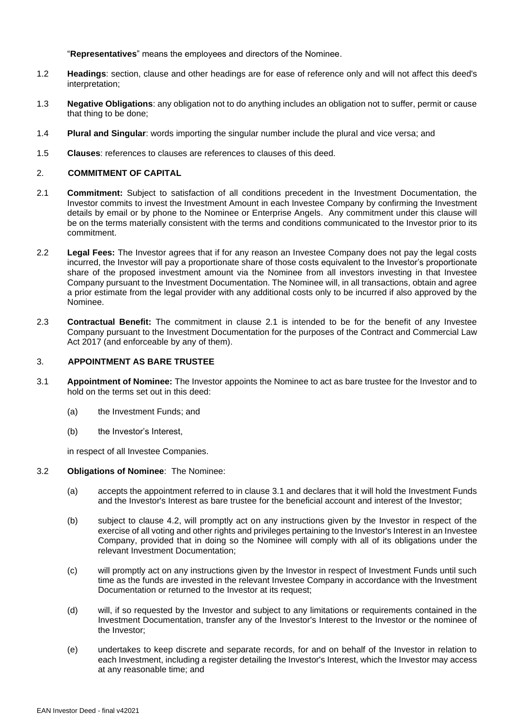"**Representatives**" means the employees and directors of the Nominee.

- 1.2 **Headings**: section, clause and other headings are for ease of reference only and will not affect this deed's interpretation;
- 1.3 **Negative Obligations**: any obligation not to do anything includes an obligation not to suffer, permit or cause that thing to be done;
- 1.4 **Plural and Singular**: words importing the singular number include the plural and vice versa; and
- 1.5 **Clauses**: references to clauses are references to clauses of this deed.

#### 2. **COMMITMENT OF CAPITAL**

- 2.1 **Commitment:** Subject to satisfaction of all conditions precedent in the Investment Documentation, the Investor commits to invest the Investment Amount in each Investee Company by confirming the Investment details by email or by phone to the Nominee or Enterprise Angels. Any commitment under this clause will be on the terms materially consistent with the terms and conditions communicated to the Investor prior to its commitment.
- 2.2 **Legal Fees:** The Investor agrees that if for any reason an Investee Company does not pay the legal costs incurred, the Investor will pay a proportionate share of those costs equivalent to the Investor's proportionate share of the proposed investment amount via the Nominee from all investors investing in that Investee Company pursuant to the Investment Documentation. The Nominee will, in all transactions, obtain and agree a prior estimate from the legal provider with any additional costs only to be incurred if also approved by the Nominee.
- 2.3 **Contractual Benefit:** The commitment in clause 2.1 is intended to be for the benefit of any Investee Company pursuant to the Investment Documentation for the purposes of the Contract and Commercial Law Act 2017 (and enforceable by any of them).

#### 3. **APPOINTMENT AS BARE TRUSTEE**

- 3.1 **Appointment of Nominee:** The Investor appoints the Nominee to act as bare trustee for the Investor and to hold on the terms set out in this deed:
	- (a) the Investment Funds; and
	- (b) the Investor's Interest,

in respect of all Investee Companies.

#### 3.2 **Obligations of Nominee**: The Nominee:

- (a) accepts the appointment referred to in clause 3.1 and declares that it will hold the Investment Funds and the Investor's Interest as bare trustee for the beneficial account and interest of the Investor;
- (b) subject to clause 4.2, will promptly act on any instructions given by the Investor in respect of the exercise of all voting and other rights and privileges pertaining to the Investor's Interest in an Investee Company, provided that in doing so the Nominee will comply with all of its obligations under the relevant Investment Documentation;
- (c) will promptly act on any instructions given by the Investor in respect of Investment Funds until such time as the funds are invested in the relevant Investee Company in accordance with the Investment Documentation or returned to the Investor at its request;
- (d) will, if so requested by the Investor and subject to any limitations or requirements contained in the Investment Documentation, transfer any of the Investor's Interest to the Investor or the nominee of the Investor;
- (e) undertakes to keep discrete and separate records, for and on behalf of the Investor in relation to each Investment, including a register detailing the Investor's Interest, which the Investor may access at any reasonable time; and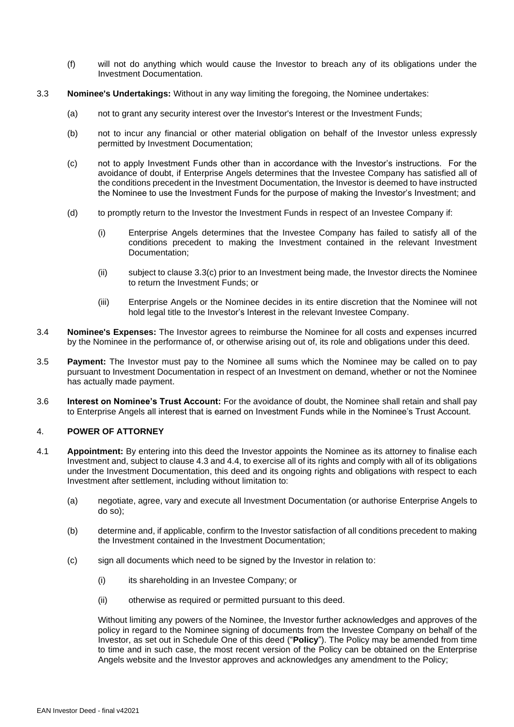- (f) will not do anything which would cause the Investor to breach any of its obligations under the Investment Documentation.
- 3.3 **Nominee's Undertakings:** Without in any way limiting the foregoing, the Nominee undertakes:
	- (a) not to grant any security interest over the Investor's Interest or the Investment Funds;
	- (b) not to incur any financial or other material obligation on behalf of the Investor unless expressly permitted by Investment Documentation;
	- (c) not to apply Investment Funds other than in accordance with the Investor's instructions. For the avoidance of doubt, if Enterprise Angels determines that the Investee Company has satisfied all of the conditions precedent in the Investment Documentation, the Investor is deemed to have instructed the Nominee to use the Investment Funds for the purpose of making the Investor's Investment; and
	- (d) to promptly return to the Investor the Investment Funds in respect of an Investee Company if:
		- (i) Enterprise Angels determines that the Investee Company has failed to satisfy all of the conditions precedent to making the Investment contained in the relevant Investment Documentation;
		- (ii) subject to clause 3.3(c) prior to an Investment being made, the Investor directs the Nominee to return the Investment Funds; or
		- (iii) Enterprise Angels or the Nominee decides in its entire discretion that the Nominee will not hold legal title to the Investor's Interest in the relevant Investee Company.
- 3.4 **Nominee's Expenses:** The Investor agrees to reimburse the Nominee for all costs and expenses incurred by the Nominee in the performance of, or otherwise arising out of, its role and obligations under this deed.
- 3.5 **Payment:** The Investor must pay to the Nominee all sums which the Nominee may be called on to pay pursuant to Investment Documentation in respect of an Investment on demand, whether or not the Nominee has actually made payment.
- 3.6 **Interest on Nominee's Trust Account:** For the avoidance of doubt, the Nominee shall retain and shall pay to Enterprise Angels all interest that is earned on Investment Funds while in the Nominee's Trust Account.

### 4. **POWER OF ATTORNEY**

- 4.1 **Appointment:** By entering into this deed the Investor appoints the Nominee as its attorney to finalise each Investment and, subject to clause 4.3 and 4.4, to exercise all of its rights and comply with all of its obligations under the Investment Documentation, this deed and its ongoing rights and obligations with respect to each Investment after settlement, including without limitation to:
	- (a) negotiate, agree, vary and execute all Investment Documentation (or authorise Enterprise Angels to do so);
	- (b) determine and, if applicable, confirm to the Investor satisfaction of all conditions precedent to making the Investment contained in the Investment Documentation;
	- (c) sign all documents which need to be signed by the Investor in relation to:
		- (i) its shareholding in an Investee Company; or
		- (ii) otherwise as required or permitted pursuant to this deed.

Without limiting any powers of the Nominee, the Investor further acknowledges and approves of the policy in regard to the Nominee signing of documents from the Investee Company on behalf of the Investor, as set out in Schedule One of this deed ("**Policy**"). The Policy may be amended from time to time and in such case, the most recent version of the Policy can be obtained on the Enterprise Angels website and the Investor approves and acknowledges any amendment to the Policy;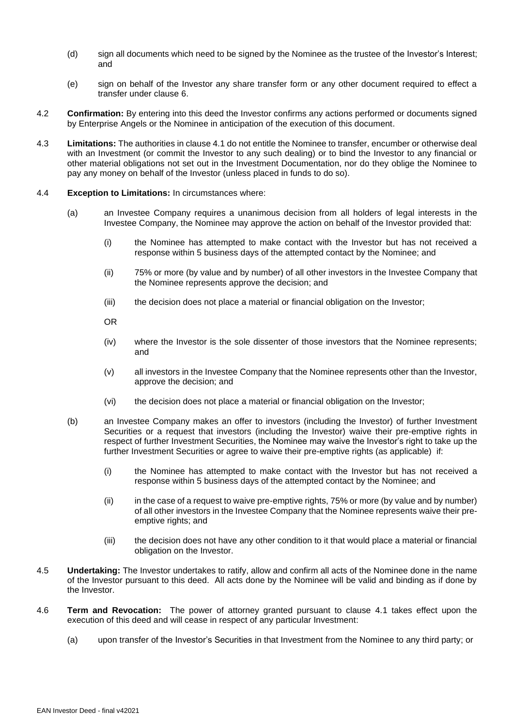- (d) sign all documents which need to be signed by the Nominee as the trustee of the Investor's Interest; and
- (e) sign on behalf of the Investor any share transfer form or any other document required to effect a transfer under clause [6.](#page-5-0)
- 4.2 **Confirmation:** By entering into this deed the Investor confirms any actions performed or documents signed by Enterprise Angels or the Nominee in anticipation of the execution of this document.
- 4.3 **Limitations:** The authorities in clause 4.1 do not entitle the Nominee to transfer, encumber or otherwise deal with an Investment (or commit the Investor to any such dealing) or to bind the Investor to any financial or other material obligations not set out in the Investment Documentation, nor do they oblige the Nominee to pay any money on behalf of the Investor (unless placed in funds to do so).
- 4.4 **Exception to Limitations:** In circumstances where:
	- (a) an Investee Company requires a unanimous decision from all holders of legal interests in the Investee Company, the Nominee may approve the action on behalf of the Investor provided that:
		- (i) the Nominee has attempted to make contact with the Investor but has not received a response within 5 business days of the attempted contact by the Nominee; and
		- (ii) 75% or more (by value and by number) of all other investors in the Investee Company that the Nominee represents approve the decision; and
		- (iii) the decision does not place a material or financial obligation on the Investor;
		- OR
		- (iv) where the Investor is the sole dissenter of those investors that the Nominee represents; and
		- (v) all investors in the Investee Company that the Nominee represents other than the Investor, approve the decision; and
		- (vi) the decision does not place a material or financial obligation on the Investor;
	- (b) an Investee Company makes an offer to investors (including the Investor) of further Investment Securities or a request that investors (including the Investor) waive their pre-emptive rights in respect of further Investment Securities, the Nominee may waive the Investor's right to take up the further Investment Securities or agree to waive their pre-emptive rights (as applicable) if:
		- (i) the Nominee has attempted to make contact with the Investor but has not received a response within 5 business days of the attempted contact by the Nominee; and
		- (ii) in the case of a request to waive pre-emptive rights, 75% or more (by value and by number) of all other investors in the Investee Company that the Nominee represents waive their preemptive rights; and
		- (iii) the decision does not have any other condition to it that would place a material or financial obligation on the Investor.
- 4.5 **Undertaking:** The Investor undertakes to ratify, allow and confirm all acts of the Nominee done in the name of the Investor pursuant to this deed. All acts done by the Nominee will be valid and binding as if done by the Investor.
- 4.6 **Term and Revocation:** The power of attorney granted pursuant to clause 4.1 takes effect upon the execution of this deed and will cease in respect of any particular Investment:
	- (a) upon transfer of the Investor's Securities in that Investment from the Nominee to any third party; or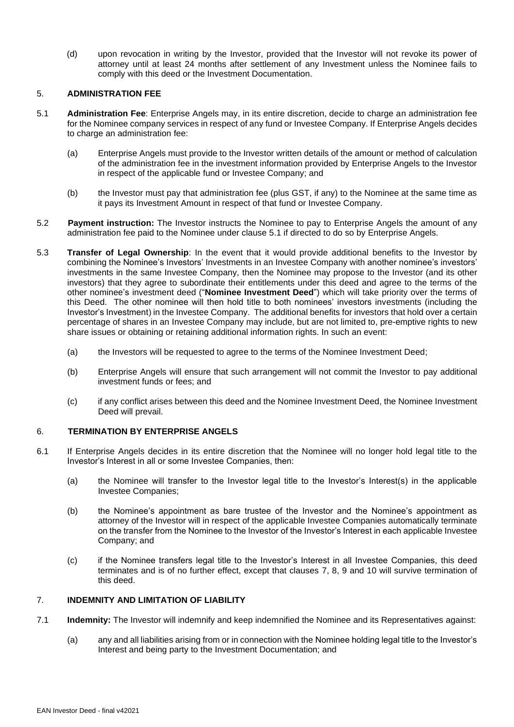(d) upon revocation in writing by the Investor, provided that the Investor will not revoke its power of attorney until at least 24 months after settlement of any Investment unless the Nominee fails to comply with this deed or the Investment Documentation.

#### 5. **ADMINISTRATION FEE**

- 5.1 **Administration Fee**: Enterprise Angels may, in its entire discretion, decide to charge an administration fee for the Nominee company services in respect of any fund or Investee Company. If Enterprise Angels decides to charge an administration fee:
	- (a) Enterprise Angels must provide to the Investor written details of the amount or method of calculation of the administration fee in the investment information provided by Enterprise Angels to the Investor in respect of the applicable fund or Investee Company; and
	- (b) the Investor must pay that administration fee (plus GST, if any) to the Nominee at the same time as it pays its Investment Amount in respect of that fund or Investee Company.
- 5.2 **Payment instruction:** The Investor instructs the Nominee to pay to Enterprise Angels the amount of any administration fee paid to the Nominee under clause 5.1 if directed to do so by Enterprise Angels.
- 5.3 **Transfer of Legal Ownership**: In the event that it would provide additional benefits to the Investor by combining the Nominee's Investors' Investments in an Investee Company with another nominee's investors' investments in the same Investee Company, then the Nominee may propose to the Investor (and its other investors) that they agree to subordinate their entitlements under this deed and agree to the terms of the other nominee's investment deed ("**Nominee Investment Deed**") which will take priority over the terms of this Deed. The other nominee will then hold title to both nominees' investors investments (including the Investor's Investment) in the Investee Company. The additional benefits for investors that hold over a certain percentage of shares in an Investee Company may include, but are not limited to, pre-emptive rights to new share issues or obtaining or retaining additional information rights. In such an event:
	- (a) the Investors will be requested to agree to the terms of the Nominee Investment Deed;
	- (b) Enterprise Angels will ensure that such arrangement will not commit the Investor to pay additional investment funds or fees; and
	- (c) if any conflict arises between this deed and the Nominee Investment Deed, the Nominee Investment Deed will prevail.

#### <span id="page-5-0"></span>6. **TERMINATION BY ENTERPRISE ANGELS**

- 6.1 If Enterprise Angels decides in its entire discretion that the Nominee will no longer hold legal title to the Investor's Interest in all or some Investee Companies, then:
	- (a) the Nominee will transfer to the Investor legal title to the Investor's Interest(s) in the applicable Investee Companies;
	- (b) the Nominee's appointment as bare trustee of the Investor and the Nominee's appointment as attorney of the Investor will in respect of the applicable Investee Companies automatically terminate on the transfer from the Nominee to the Investor of the Investor's Interest in each applicable Investee Company; and
	- (c) if the Nominee transfers legal title to the Investor's Interest in all Investee Companies, this deed terminates and is of no further effect, except that clauses [7,](#page-5-1) [8,](#page-6-0) [9](#page-6-1) and [10](#page-6-2) will survive termination of this deed.

### <span id="page-5-1"></span>7. **INDEMNITY AND LIMITATION OF LIABILITY**

- <span id="page-5-2"></span>7.1 **Indemnity:** The Investor will indemnify and keep indemnified the Nominee and its Representatives against:
	- (a) any and all liabilities arising from or in connection with the Nominee holding legal title to the Investor's Interest and being party to the Investment Documentation; and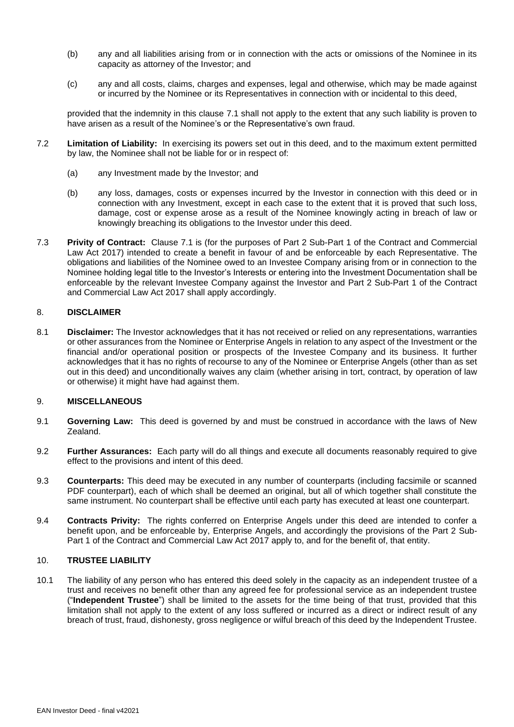- (b) any and all liabilities arising from or in connection with the acts or omissions of the Nominee in its capacity as attorney of the Investor; and
- (c) any and all costs, claims, charges and expenses, legal and otherwise, which may be made against or incurred by the Nominee or its Representatives in connection with or incidental to this deed,

provided that the indemnity in this clause [7.1](#page-5-2) shall not apply to the extent that any such liability is proven to have arisen as a result of the Nominee's or the Representative's own fraud.

- 7.2 **Limitation of Liability:** In exercising its powers set out in this deed, and to the maximum extent permitted by law, the Nominee shall not be liable for or in respect of:
	- (a) any Investment made by the Investor; and
	- (b) any loss, damages, costs or expenses incurred by the Investor in connection with this deed or in connection with any Investment, except in each case to the extent that it is proved that such loss, damage, cost or expense arose as a result of the Nominee knowingly acting in breach of law or knowingly breaching its obligations to the Investor under this deed.
- 7.3 **Privity of Contract:** Clause 7.1 is (for the purposes of Part 2 Sub-Part 1 of the Contract and Commercial Law Act 2017) intended to create a benefit in favour of and be enforceable by each Representative. The obligations and liabilities of the Nominee owed to an Investee Company arising from or in connection to the Nominee holding legal title to the Investor's Interests or entering into the Investment Documentation shall be enforceable by the relevant Investee Company against the Investor and Part 2 Sub-Part 1 of the Contract and Commercial Law Act 2017 shall apply accordingly.

#### <span id="page-6-0"></span>8. **DISCLAIMER**

8.1 **Disclaimer:** The Investor acknowledges that it has not received or relied on any representations, warranties or other assurances from the Nominee or Enterprise Angels in relation to any aspect of the Investment or the financial and/or operational position or prospects of the Investee Company and its business. It further acknowledges that it has no rights of recourse to any of the Nominee or Enterprise Angels (other than as set out in this deed) and unconditionally waives any claim (whether arising in tort, contract, by operation of law or otherwise) it might have had against them.

#### <span id="page-6-1"></span>9. **MISCELLANEOUS**

- 9.1 **Governing Law:** This deed is governed by and must be construed in accordance with the laws of New Zealand.
- 9.2 **Further Assurances:** Each party will do all things and execute all documents reasonably required to give effect to the provisions and intent of this deed.
- 9.3 **Counterparts:** This deed may be executed in any number of counterparts (including facsimile or scanned PDF counterpart), each of which shall be deemed an original, but all of which together shall constitute the same instrument. No counterpart shall be effective until each party has executed at least one counterpart.
- 9.4 **Contracts Privity:** The rights conferred on Enterprise Angels under this deed are intended to confer a benefit upon, and be enforceable by, Enterprise Angels, and accordingly the provisions of the Part 2 Sub-Part 1 of the Contract and Commercial Law Act 2017 apply to, and for the benefit of, that entity.

#### <span id="page-6-2"></span>10. **TRUSTEE LIABILITY**

10.1 The liability of any person who has entered this deed solely in the capacity as an independent trustee of a trust and receives no benefit other than any agreed fee for professional service as an independent trustee ("**Independent Trustee**") shall be limited to the assets for the time being of that trust, provided that this limitation shall not apply to the extent of any loss suffered or incurred as a direct or indirect result of any breach of trust, fraud, dishonesty, gross negligence or wilful breach of this deed by the Independent Trustee.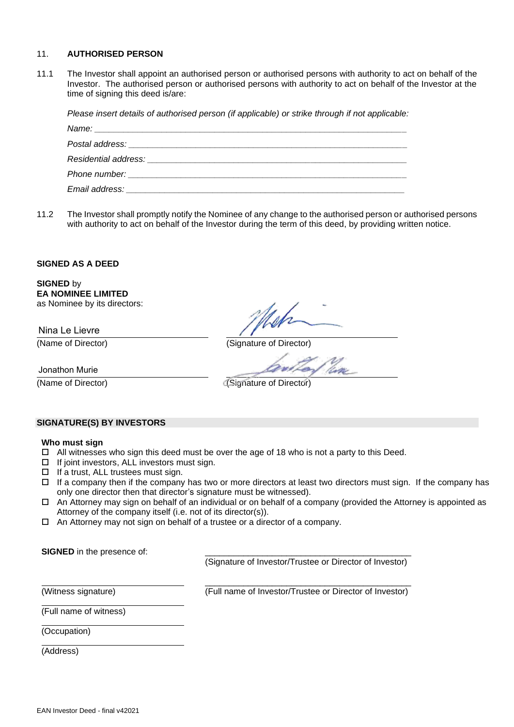#### 11. **AUTHORISED PERSON**

11.1 The Investor shall appoint an authorised person or authorised persons with authority to act on behalf of the Investor. The authorised person or authorised persons with authority to act on behalf of the Investor at the time of signing this deed is/are:

*Please insert details of authorised person (if applicable) or strike through if not applicable:*

11.2 The Investor shall promptly notify the Nominee of any change to the authorised person or authorised persons with authority to act on behalf of the Investor during the term of this deed, by providing written notice.

#### **SIGNED AS A DEED**

**SIGNED** by **EA NOMINEE LIMITED** as Nominee by its directors:

Nina Le Lievre

(Name of Director) (Signature of Director)

Jonathon Murie

(Name of Director) (Signature of Director)

#### **SIGNATURE(S) BY INVESTORS**

#### **Who must sign**

- $\Box$  All witnesses who sign this deed must be over the age of 18 who is not a party to this Deed.
- $\Box$  If joint investors, ALL investors must sign.
- $\Box$  If a trust, ALL trustees must sign.
- If a company then if the company has two or more directors at least two directors must sign. If the company has only one director then that director's signature must be witnessed).
- $\Box$  An Attorney may sign on behalf of an individual or on behalf of a company (provided the Attorney is appointed as Attorney of the company itself (i.e. not of its director(s)).
- □ An Attorney may not sign on behalf of a trustee or a director of a company.

**SIGNED** in the presence of:

(Signature of Investor/Trustee or Director of Investor)

(Witness signature)

\_\_\_\_\_\_\_\_\_\_\_\_\_\_\_\_\_\_\_\_\_\_\_\_\_\_\_\_\_\_\_\_\_\_\_\_\_\_\_\_\_\_\_ (Full name of Investor/Trustee or Director of Investor)

(Full name of witness)

(Occupation)

(Address)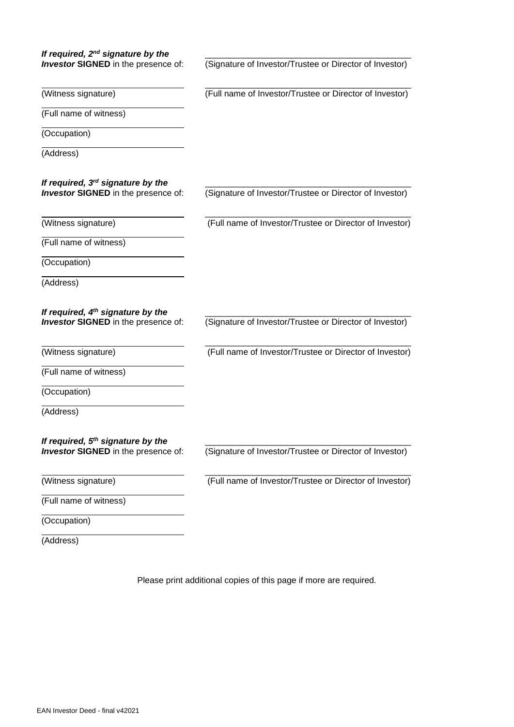| If required, $2^{nd}$ signature by the                                                      |                                                         |
|---------------------------------------------------------------------------------------------|---------------------------------------------------------|
| <b>Investor SIGNED</b> in the presence of:                                                  | (Signature of Investor/Trustee or Director of Investor) |
| (Witness signature)                                                                         | (Full name of Investor/Trustee or Director of Investor) |
| (Full name of witness)                                                                      |                                                         |
| (Occupation)                                                                                |                                                         |
| (Address)                                                                                   |                                                         |
| If required, $3rd$ signature by the<br><b>Investor SIGNED</b> in the presence of:           | (Signature of Investor/Trustee or Director of Investor) |
| (Witness signature)                                                                         | (Full name of Investor/Trustee or Director of Investor) |
| (Full name of witness)                                                                      |                                                         |
| (Occupation)                                                                                |                                                         |
| (Address)                                                                                   |                                                         |
| If required, 4 <sup>th</sup> signature by the<br><b>Investor SIGNED</b> in the presence of: | (Signature of Investor/Trustee or Director of Investor) |
| (Witness signature)                                                                         | (Full name of Investor/Trustee or Director of Investor) |
| (Full name of witness)                                                                      |                                                         |
| (Occupation)                                                                                |                                                         |
| (Address)                                                                                   |                                                         |
| If required, $5th$ signature by the<br><b>Investor SIGNED</b> in the presence of:           | (Signature of Investor/Trustee or Director of Investor) |
| (Witness signature)                                                                         | (Full name of Investor/Trustee or Director of Investor) |
| (Full name of witness)                                                                      |                                                         |
| (Occupation)                                                                                |                                                         |
| (Address)                                                                                   |                                                         |

Please print additional copies of this page if more are required.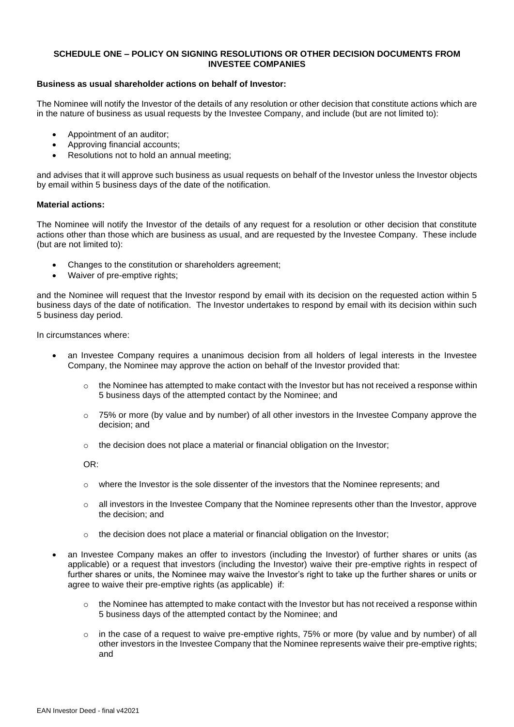#### **SCHEDULE ONE – POLICY ON SIGNING RESOLUTIONS OR OTHER DECISION DOCUMENTS FROM INVESTEE COMPANIES**

#### **Business as usual shareholder actions on behalf of Investor:**

The Nominee will notify the Investor of the details of any resolution or other decision that constitute actions which are in the nature of business as usual requests by the Investee Company, and include (but are not limited to):

- Appointment of an auditor;
- Approving financial accounts;
- Resolutions not to hold an annual meeting;

and advises that it will approve such business as usual requests on behalf of the Investor unless the Investor objects by email within 5 business days of the date of the notification.

#### **Material actions:**

The Nominee will notify the Investor of the details of any request for a resolution or other decision that constitute actions other than those which are business as usual, and are requested by the Investee Company. These include (but are not limited to):

- Changes to the constitution or shareholders agreement;
- Waiver of pre-emptive rights:

and the Nominee will request that the Investor respond by email with its decision on the requested action within 5 business days of the date of notification. The Investor undertakes to respond by email with its decision within such 5 business day period.

In circumstances where:

- an Investee Company requires a unanimous decision from all holders of legal interests in the Investee Company, the Nominee may approve the action on behalf of the Investor provided that:
	- $\circ$  the Nominee has attempted to make contact with the Investor but has not received a response within 5 business days of the attempted contact by the Nominee; and
	- o 75% or more (by value and by number) of all other investors in the Investee Company approve the decision; and
	- $\circ$  the decision does not place a material or financial obligation on the Investor;

OR:

- $\circ$  where the Investor is the sole dissenter of the investors that the Nominee represents; and
- o all investors in the Investee Company that the Nominee represents other than the Investor, approve the decision; and
- $\circ$  the decision does not place a material or financial obligation on the Investor;
- an Investee Company makes an offer to investors (including the Investor) of further shares or units (as applicable) or a request that investors (including the Investor) waive their pre-emptive rights in respect of further shares or units, the Nominee may waive the Investor's right to take up the further shares or units or agree to waive their pre-emptive rights (as applicable) if:
	- o the Nominee has attempted to make contact with the Investor but has not received a response within 5 business days of the attempted contact by the Nominee; and
	- $\circ$  in the case of a request to waive pre-emptive rights, 75% or more (by value and by number) of all other investors in the Investee Company that the Nominee represents waive their pre-emptive rights; and